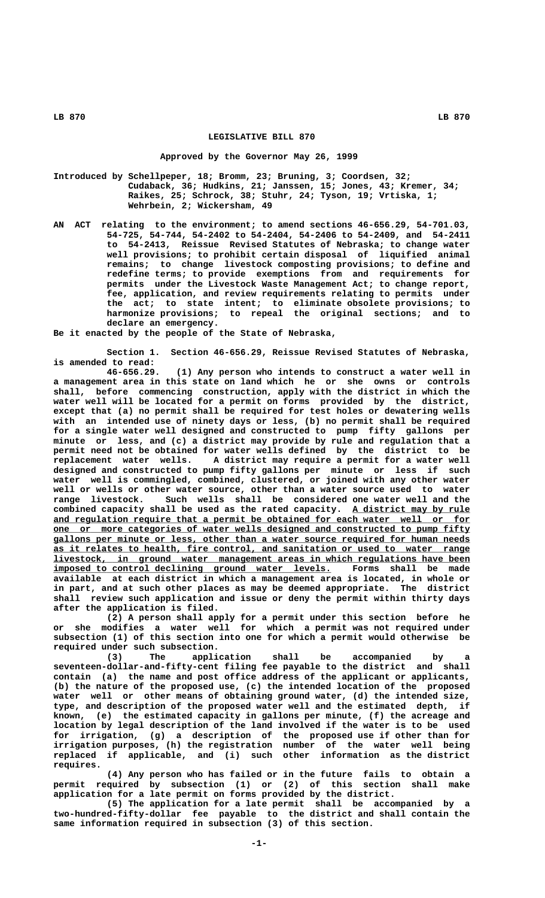## **LEGISLATIVE BILL 870**

## **Approved by the Governor May 26, 1999**

- **Introduced by Schellpeper, 18; Bromm, 23; Bruning, 3; Coordsen, 32; Cudaback, 36; Hudkins, 21; Janssen, 15; Jones, 43; Kremer, 34; Raikes, 25; Schrock, 38; Stuhr, 24; Tyson, 19; Vrtiska, 1; Wehrbein, 2; Wickersham, 49**
- **AN ACT relating to the environment; to amend sections 46-656.29, 54-701.03, 54-725, 54-744, 54-2402 to 54-2404, 54-2406 to 54-2409, and 54-2411 to 54-2413, Reissue Revised Statutes of Nebraska; to change water well provisions; to prohibit certain disposal of liquified animal remains; to change livestock composting provisions; to define and redefine terms; to provide exemptions from and requirements for permits under the Livestock Waste Management Act; to change report, fee, application, and review requirements relating to permits under the act; to state intent; to eliminate obsolete provisions; to harmonize provisions; to repeal the original sections; and to declare an emergency.**

**Be it enacted by the people of the State of Nebraska,**

**Section 1. Section 46-656.29, Reissue Revised Statutes of Nebraska, is amended to read:**

**46-656.29. (1) Any person who intends to construct a water well in a management area in this state on land which he or she owns or controls shall, before commencing construction, apply with the district in which the water well will be located for a permit on forms provided by the district, except that (a) no permit shall be required for test holes or dewatering wells with an intended use of ninety days or less, (b) no permit shall be required for a single water well designed and constructed to pump fifty gallons per minute or less, and (c) a district may provide by rule and regulation that a permit need not be obtained for water wells defined by the district to be** A district may require a permit for a water well **designed and constructed to pump fifty gallons per minute or less if such water well is commingled, combined, clustered, or joined with any other water well or wells or other water source, other than a water source used to water range livestock. Such wells shall be considered one water well and the** combined capacity shall be used as the rated capacity. A district may by rule and regulation require that a permit be obtained for each water well or for  **\_\_\_\_\_\_\_\_\_\_\_\_\_\_\_\_\_\_\_\_\_\_\_\_\_\_\_\_\_\_\_\_\_\_\_\_\_\_\_\_\_\_\_\_\_\_\_\_\_\_\_\_\_\_\_\_\_\_\_\_\_\_\_\_\_\_\_\_\_\_\_\_\_\_\_\_\_\_ one or more categories of water wells designed and constructed to pump fifty \_\_\_\_\_\_\_\_\_\_\_\_\_\_\_\_\_\_\_\_\_\_\_\_\_\_\_\_\_\_\_\_\_\_\_\_\_\_\_\_\_\_\_\_\_\_\_\_\_\_\_\_\_\_\_\_\_\_\_\_\_\_\_\_\_\_\_\_\_\_\_\_\_\_\_\_\_\_ gallons per minute or less, other than a water source required for human needs \_\_\_\_\_\_\_\_\_\_\_\_\_\_\_\_\_\_\_\_\_\_\_\_\_\_\_\_\_\_\_\_\_\_\_\_\_\_\_\_\_\_\_\_\_\_\_\_\_\_\_\_\_\_\_\_\_\_\_\_\_\_\_\_\_\_\_\_\_\_\_\_\_\_\_\_\_\_ as it relates to health, fire control, and sanitation or used to water range \_\_\_\_\_\_\_\_\_\_\_\_\_\_\_\_\_\_\_\_\_\_\_\_\_\_\_\_\_\_\_\_\_\_\_\_\_\_\_\_\_\_\_\_\_\_\_\_\_\_\_\_\_\_\_\_\_\_\_\_\_\_\_\_\_\_\_\_\_\_\_\_\_\_\_\_\_\_ livestock, in ground water management areas in which regulations have been**  $\frac{1}{2}$  imposed to control declining ground water levels. Forms shall be made **available at each district in which a management area is located, in whole or in part, and at such other places as may be deemed appropriate. The district shall review such application and issue or deny the permit within thirty days after the application is filed.**

> **(2) A person shall apply for a permit under this section before he or she modifies a water well for which a permit was not required under subsection (1) of this section into one for which a permit would otherwise be required under such subsection.**

> **(3) The application shall be accompanied by a seventeen-dollar-and-fifty-cent filing fee payable to the district and shall contain (a) the name and post office address of the applicant or applicants, (b) the nature of the proposed use, (c) the intended location of the proposed water well or other means of obtaining ground water, (d) the intended size, type, and description of the proposed water well and the estimated depth, if known, (e) the estimated capacity in gallons per minute, (f) the acreage and location by legal description of the land involved if the water is to be used for irrigation, (g) a description of the proposed use if other than for irrigation purposes, (h) the registration number of the water well being replaced if applicable, and (i) such other information as the district requires.**

> **(4) Any person who has failed or in the future fails to obtain a permit required by subsection (1) or (2) of this section shall make application for a late permit on forms provided by the district.**

> **(5) The application for a late permit shall be accompanied by a two-hundred-fifty-dollar fee payable to the district and shall contain the same information required in subsection (3) of this section.**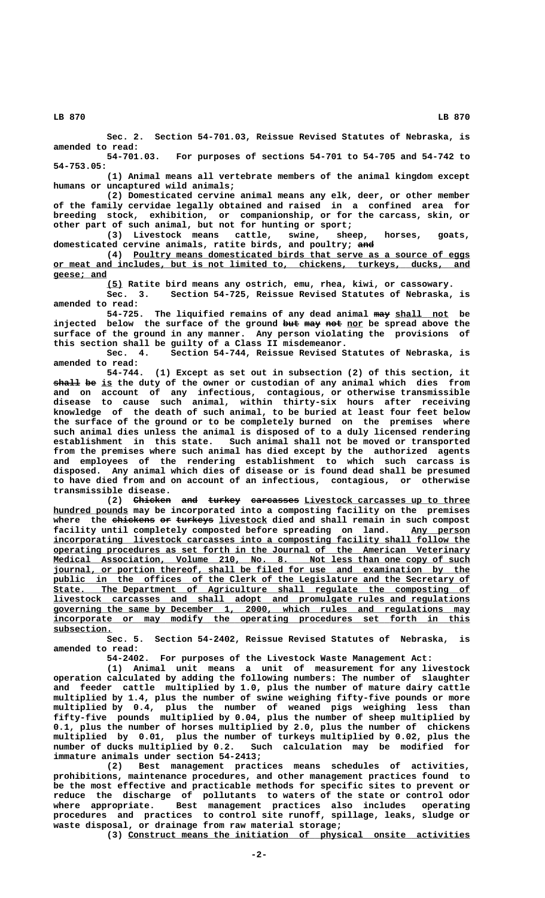**Sec. 2. Section 54-701.03, Reissue Revised Statutes of Nebraska, is amended to read:**

**54-701.03. For purposes of sections 54-701 to 54-705 and 54-742 to 54-753.05:**

**(1) Animal means all vertebrate members of the animal kingdom except humans or uncaptured wild animals;**

**(2) Domesticated cervine animal means any elk, deer, or other member of the family cervidae legally obtained and raised in a confined area for breeding stock, exhibition, or companionship, or for the carcass, skin, or other part of such animal, but not for hunting or sport;**

**(3) Livestock means cattle, swine, sheep, horses, goats,** domesticated cervine animals, ratite birds, and poultry; and

 **\_\_\_\_\_\_\_\_\_\_\_\_\_\_\_\_\_\_\_\_\_\_\_\_\_\_\_\_\_\_\_\_\_\_\_\_\_\_\_\_\_\_\_\_\_\_\_\_\_\_\_\_\_\_\_\_\_\_\_\_\_\_\_ (4) Poultry means domesticated birds that serve as a source of eggs \_\_\_\_\_\_\_\_\_\_\_\_\_\_\_\_\_\_\_\_\_\_\_\_\_\_\_\_\_\_\_\_\_\_\_\_\_\_\_\_\_\_\_\_\_\_\_\_\_\_\_\_\_\_\_\_\_\_\_\_\_\_\_\_\_\_\_\_\_\_\_\_\_\_\_\_\_\_ or meat and includes, but is not limited to, chickens, turkeys, ducks, and geese; and \_\_\_\_\_\_\_\_\_\_**

 **\_\_\_ (5) Ratite bird means any ostrich, emu, rhea, kiwi, or cassowary.**

**Sec. 3. Section 54-725, Reissue Revised Statutes of Nebraska, is amended to read:**

54-725. The liquified remains of any dead animal may shall not be injected below the surface of the ground but may not nor be spread above the **surface of the ground in any manner. Any person violating the provisions of**

**this section shall be guilty of a Class II misdemeanor.** Section 54-744, Reissue Revised Statutes of Nebraska, is **amended to read:**

**54-744. (1) Except as set out in subsection (2) of this section, it**  $\frac{1}{2}$  **be** is the duty of the owner or custodian of any animal which dies from **and on account of any infectious, contagious, or otherwise transmissible disease to cause such animal, within thirty-six hours after receiving knowledge of the death of such animal, to be buried at least four feet below the surface of the ground or to be completely burned on the premises where such animal dies unless the animal is disposed of to a duly licensed rendering establishment in this state. Such animal shall not be moved or transported from the premises where such animal has died except by the authorized agents and employees of the rendering establishment to which such carcass is disposed. Any animal which dies of disease or is found dead shall be presumed to have died from and on account of an infectious, contagious, or otherwise transmissible disease.**

(2) <del>Chicken</del> and turkey carcasses Livestock carcasses up to three  **\_\_\_\_\_\_\_\_\_\_\_\_\_\_ hundred pounds may be incorporated into a composting facility on the premises** where the chickens or turkeys livestock died and shall remain in such compost facility until completely composted before spreading on land. Any person  **\_\_\_\_\_\_\_\_\_\_\_\_\_\_\_\_\_\_\_\_\_\_\_\_\_\_\_\_\_\_\_\_\_\_\_\_\_\_\_\_\_\_\_\_\_\_\_\_\_\_\_\_\_\_\_\_\_\_\_\_\_\_\_\_\_\_\_\_\_\_\_\_\_\_\_\_\_\_ incorporating livestock carcasses into a composting facility shall follow the \_\_\_\_\_\_\_\_\_\_\_\_\_\_\_\_\_\_\_\_\_\_\_\_\_\_\_\_\_\_\_\_\_\_\_\_\_\_\_\_\_\_\_\_\_\_\_\_\_\_\_\_\_\_\_\_\_\_\_\_\_\_\_\_\_\_\_\_\_\_\_\_\_\_\_\_\_\_ operating procedures as set forth in the Journal of the American Veterinary \_\_\_\_\_\_\_\_\_\_\_\_\_\_\_\_\_\_\_\_\_\_\_\_\_\_\_\_\_\_\_\_\_\_\_\_\_\_\_\_\_\_\_\_\_\_\_\_\_\_\_\_\_\_\_\_\_\_\_\_\_\_\_\_\_\_\_\_\_\_\_\_\_\_\_\_\_\_ Medical Association, Volume 210, No. 8. Not less than one copy of such**  $j$ ournal, or portion thereof, shall be filed for use and examination by the public in the offices of the Clerk of the Legislature and the Secretary of  **\_\_\_\_\_\_\_\_\_\_\_\_\_\_\_\_\_\_\_\_\_\_\_\_\_\_\_\_\_\_\_\_\_\_\_\_\_\_\_\_\_\_\_\_\_\_\_\_\_\_\_\_\_\_\_\_\_\_\_\_\_\_\_\_\_\_\_\_\_\_\_\_\_\_\_\_\_\_ State. The Department of Agriculture shall regulate the composting of \_\_\_\_\_\_\_\_\_\_\_\_\_\_\_\_\_\_\_\_\_\_\_\_\_\_\_\_\_\_\_\_\_\_\_\_\_\_\_\_\_\_\_\_\_\_\_\_\_\_\_\_\_\_\_\_\_\_\_\_\_\_\_\_\_\_\_\_\_\_\_\_\_\_\_\_\_\_ livestock carcasses and shall adopt and promulgate rules and regulations \_\_\_\_\_\_\_\_\_\_\_\_\_\_\_\_\_\_\_\_\_\_\_\_\_\_\_\_\_\_\_\_\_\_\_\_\_\_\_\_\_\_\_\_\_\_\_\_\_\_\_\_\_\_\_\_\_\_\_\_\_\_\_\_\_\_\_\_\_\_\_\_\_\_\_\_\_\_ governing the same by December 1, 2000, which rules and regulations may** incorporate or may modify the operating procedures set forth in this  **subsection. \_\_\_\_\_\_\_\_\_\_\_**

**Sec. 5. Section 54-2402, Reissue Revised Statutes of Nebraska, is amended to read:**

**54-2402. For purposes of the Livestock Waste Management Act:**

**(1) Animal unit means a unit of measurement for any livestock operation calculated by adding the following numbers: The number of slaughter and feeder cattle multiplied by 1.0, plus the number of mature dairy cattle multiplied by 1.4, plus the number of swine weighing fifty-five pounds or more multiplied by 0.4, plus the number of weaned pigs weighing less than fifty-five pounds multiplied by 0.04, plus the number of sheep multiplied by 0.1, plus the number of horses multiplied by 2.0, plus the number of chickens multiplied by 0.01, plus the number of turkeys multiplied by 0.02, plus the number of ducks multiplied by 0.2. Such calculation may be modified for immature animals under section 54-2413;**

**(2) Best management practices means schedules of activities, prohibitions, maintenance procedures, and other management practices found to be the most effective and practicable methods for specific sites to prevent or reduce the discharge of pollutants to waters of the state or control odor where appropriate. Best management practices also includes operating procedures and practices to control site runoff, spillage, leaks, sludge or waste disposal, or drainage from raw material storage;**

 **\_\_\_\_\_\_\_\_\_\_\_\_\_\_\_\_\_\_\_\_\_\_\_\_\_\_\_\_\_\_\_\_\_\_\_\_\_\_\_\_\_\_\_\_\_\_\_\_\_\_\_\_\_\_\_\_\_\_\_\_\_\_\_\_ (3) Construct means the initiation of physical onsite activities**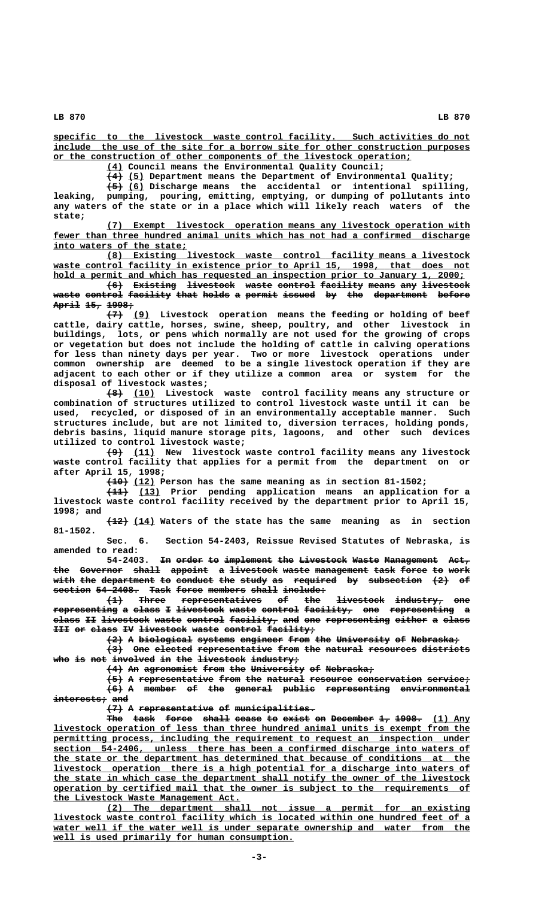**\_\_\_\_\_\_\_\_\_\_\_\_\_\_\_\_\_\_\_\_\_\_\_\_\_\_\_\_\_\_\_\_\_\_\_\_\_\_\_\_\_\_\_\_\_\_\_\_\_\_\_\_\_\_\_\_\_\_\_\_\_\_\_\_\_\_\_\_\_\_\_\_\_\_\_\_\_\_ specific to the livestock waste control facility. Such activities do not \_\_\_\_\_\_\_\_\_\_\_\_\_\_\_\_\_\_\_\_\_\_\_\_\_\_\_\_\_\_\_\_\_\_\_\_\_\_\_\_\_\_\_\_\_\_\_\_\_\_\_\_\_\_\_\_\_\_\_\_\_\_\_\_\_\_\_\_\_\_\_\_\_\_\_\_\_\_ include the use of the site for a borrow site for other construction purposes \_\_\_\_\_\_\_\_\_\_\_\_\_\_\_\_\_\_\_\_\_\_\_\_\_\_\_\_\_\_\_\_\_\_\_\_\_\_\_\_\_\_\_\_\_\_\_\_\_\_\_\_\_\_\_\_\_\_\_\_\_\_\_\_\_\_\_ or the construction of other components of the livestock operation;**

 **\_\_\_ (4) Council means the Environmental Quality Council;**

 **——— \_\_\_ (4) (5) Department means the Department of Environmental Quality;**

 **——— \_\_\_ (5) (6) Discharge means the accidental or intentional spilling, leaking, pumping, pouring, emitting, emptying, or dumping of pollutants into any waters of the state or in a place which will likely reach waters of the state;**

 **\_\_\_\_\_\_\_\_\_\_\_\_\_\_\_\_\_\_\_\_\_\_\_\_\_\_\_\_\_\_\_\_\_\_\_\_\_\_\_\_\_\_\_\_\_\_\_\_\_\_\_\_\_\_\_\_\_\_\_\_\_\_\_\_\_\_\_\_ (7) Exempt livestock operation means any livestock operation with \_\_\_\_\_\_\_\_\_\_\_\_\_\_\_\_\_\_\_\_\_\_\_\_\_\_\_\_\_\_\_\_\_\_\_\_\_\_\_\_\_\_\_\_\_\_\_\_\_\_\_\_\_\_\_\_\_\_\_\_\_\_\_\_\_\_\_\_\_\_\_\_\_\_\_\_\_\_ fewer than three hundred animal units which has not had a confirmed discharge \_\_\_\_\_\_\_\_\_\_\_\_\_\_\_\_\_\_\_\_\_\_\_\_\_ into waters of the state;**

 **\_\_\_\_\_\_\_\_\_\_\_\_\_\_\_\_\_\_\_\_\_\_\_\_\_\_\_\_\_\_\_\_\_\_\_\_\_\_\_\_\_\_\_\_\_\_\_\_\_\_\_\_\_\_\_\_\_\_\_\_\_\_\_\_\_\_\_\_ (8) Existing livestock waste control facility means a livestock \_\_\_\_\_\_\_\_\_\_\_\_\_\_\_\_\_\_\_\_\_\_\_\_\_\_\_\_\_\_\_\_\_\_\_\_\_\_\_\_\_\_\_\_\_\_\_\_\_\_\_\_\_\_\_\_\_\_\_\_\_\_\_\_\_\_\_\_\_\_\_\_\_\_\_\_\_\_ waste control facility in existence prior to April 15, 1998, that does not \_\_\_\_\_\_\_\_\_\_\_\_\_\_\_\_\_\_\_\_\_\_\_\_\_\_\_\_\_\_\_\_\_\_\_\_\_\_\_\_\_\_\_\_\_\_\_\_\_\_\_\_\_\_\_\_\_\_\_\_\_\_\_\_\_\_\_\_\_\_\_\_\_\_\_\_\_ hold a permit and which has requested an inspection prior to January 1, 2000;**

**(6) Existing livestock waste control facility means any livestock ——— ———————— ————————— ————— ——————— ———————— ————— ——— ————————** waste control facility that holds a permit issued by the department before **April 15, 1998; ————— ——— —————**

 $\overline{(7)}$  (9) Livestock operation means the feeding or holding of beef **cattle, dairy cattle, horses, swine, sheep, poultry, and other livestock in buildings, lots, or pens which normally are not used for the growing of crops or vegetation but does not include the holding of cattle in calving operations for less than ninety days per year. Two or more livestock operations under common ownership are deemed to be a single livestock operation if they are adjacent to each other or if they utilize a common area or system for the disposal of livestock wastes;**

 **——— \_\_\_\_ (8) (10) Livestock waste control facility means any structure or combination of structures utilized to control livestock waste until it can be used, recycled, or disposed of in an environmentally acceptable manner. Such structures include, but are not limited to, diversion terraces, holding ponds, debris basins, liquid manure storage pits, lagoons, and other such devices utilized to control livestock waste;**

 **——— \_\_\_\_ (9) (11) New livestock waste control facility means any livestock waste control facility that applies for a permit from the department on or after April 15, 1998;**

 **———— \_\_\_\_ (10) (12) Person has the same meaning as in section 81-1502;**

 **———— \_\_\_\_ (11) (13) Prior pending application means an application for a livestock waste control facility received by the department prior to April 15, 1998; and**

 **———— \_\_\_\_ (12) (14) Waters of the state has the same meaning as in section 81-1502.**

**Sec. 6. Section 54-2403, Reissue Revised Statutes of Nebraska, is amended to read:**

54-2403. <del>In order to implement the Livestock</del> Waste Management Act, the Governor shall appoint a livestock waste management task force to work with the department to conduct the study as required by subsection  $(2)$  of section 54-2408. Task force members shall include:

 $\overline{1}$  Three representatives of the livestock industry, one  ${\tt representing}$  a class I livestock waste control facility, one representing a **class II livestock waste control facility, and one representing either a class ————— —— ————————— ————— ——————— ————————— ——— ——— ———————————— —————— — ————— III or class IV livestock waste control facility;** 

**(2) A biological systems engineer from the University of Nebraska; ——— — —————————— ——————— ———————— ———— ——— —————————— —— —————————**

**(3) One elected representative from the natural resources districts ——— ——— ——————— —————————————— ———— ——— ——————— ————————— ————————** who is not involved in the livestock industry,

 $(4)$  An agronomist from the University of Nebraska;

**(5) A representative from the natural resource conservation service; ——— — —————————————— ———— ——— ——————— ———————— ———————————— ————————**  $(6)$  A member of the general public representing environmental  $intercepts$  and

**(7) A representative of municipalities. ——— — —————————————— —— ———————————————**

The task force shall cease to exist on December 1, 1998. (1) Any  **\_\_\_\_\_\_\_\_\_\_\_\_\_\_\_\_\_\_\_\_\_\_\_\_\_\_\_\_\_\_\_\_\_\_\_\_\_\_\_\_\_\_\_\_\_\_\_\_\_\_\_\_\_\_\_\_\_\_\_\_\_\_\_\_\_\_\_\_\_\_\_\_\_\_\_\_\_\_ livestock operation of less than three hundred animal units is exempt from the** permitting process, including the requirement to request an inspection under  **\_\_\_\_\_\_\_\_\_\_\_\_\_\_\_\_\_\_\_\_\_\_\_\_\_\_\_\_\_\_\_\_\_\_\_\_\_\_\_\_\_\_\_\_\_\_\_\_\_\_\_\_\_\_\_\_\_\_\_\_\_\_\_\_\_\_\_\_\_\_\_\_\_\_\_\_\_\_ section 54-2406, unless there has been a confirmed discharge into waters of \_\_\_\_\_\_\_\_\_\_\_\_\_\_\_\_\_\_\_\_\_\_\_\_\_\_\_\_\_\_\_\_\_\_\_\_\_\_\_\_\_\_\_\_\_\_\_\_\_\_\_\_\_\_\_\_\_\_\_\_\_\_\_\_\_\_\_\_\_\_\_\_\_\_\_\_\_\_ the state or the department has determined that because of conditions at the \_\_\_\_\_\_\_\_\_\_\_\_\_\_\_\_\_\_\_\_\_\_\_\_\_\_\_\_\_\_\_\_\_\_\_\_\_\_\_\_\_\_\_\_\_\_\_\_\_\_\_\_\_\_\_\_\_\_\_\_\_\_\_\_\_\_\_\_\_\_\_\_\_\_\_\_\_\_ livestock operation there is a high potential for a discharge into waters of \_\_\_\_\_\_\_\_\_\_\_\_\_\_\_\_\_\_\_\_\_\_\_\_\_\_\_\_\_\_\_\_\_\_\_\_\_\_\_\_\_\_\_\_\_\_\_\_\_\_\_\_\_\_\_\_\_\_\_\_\_\_\_\_\_\_\_\_\_\_\_\_\_\_\_\_\_\_ the state in which case the department shall notify the owner of the livestock \_\_\_\_\_\_\_\_\_\_\_\_\_\_\_\_\_\_\_\_\_\_\_\_\_\_\_\_\_\_\_\_\_\_\_\_\_\_\_\_\_\_\_\_\_\_\_\_\_\_\_\_\_\_\_\_\_\_\_\_\_\_\_\_\_\_\_\_\_\_\_\_\_\_\_\_\_\_ operation by certified mail that the owner is subject to the requirements of \_\_\_\_\_\_\_\_\_\_\_\_\_\_\_\_\_\_\_\_\_\_\_\_\_\_\_\_\_\_\_\_\_\_\_ the Livestock Waste Management Act.**

 **\_\_\_\_\_\_\_\_\_\_\_\_\_\_\_\_\_\_\_\_\_\_\_\_\_\_\_\_\_\_\_\_\_\_\_\_\_\_\_\_\_\_\_\_\_\_\_\_\_\_\_\_\_\_\_\_\_\_\_\_\_\_\_\_\_\_\_\_ (2) The department shall not issue a permit for an existing \_\_\_\_\_\_\_\_\_\_\_\_\_\_\_\_\_\_\_\_\_\_\_\_\_\_\_\_\_\_\_\_\_\_\_\_\_\_\_\_\_\_\_\_\_\_\_\_\_\_\_\_\_\_\_\_\_\_\_\_\_\_\_\_\_\_\_\_\_\_\_\_\_\_\_\_\_\_ livestock waste control facility which is located within one hundred feet of a** water well if the water well is under separate ownership and water from the  **\_\_\_\_\_\_\_\_\_\_\_\_\_\_\_\_\_\_\_\_\_\_\_\_\_\_\_\_\_\_\_\_\_\_\_\_\_\_\_\_\_\_\_\_\_ well is used primarily for human consumption.**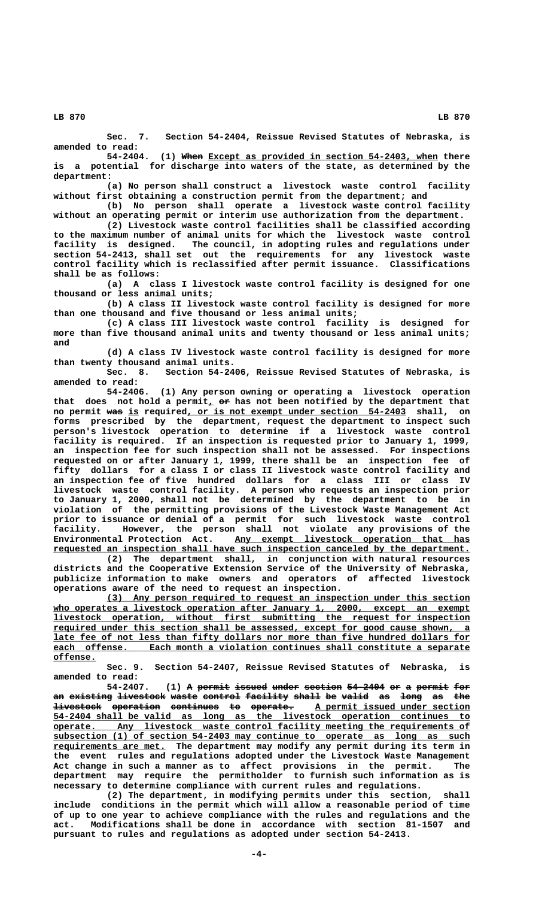**Sec. 7. Section 54-2404, Reissue Revised Statutes of Nebraska, is amended to read:**

(1) When Except as provided in section 54-2403, when there **is a potential for discharge into waters of the state, as determined by the department:**

**(a) No person shall construct a livestock waste control facility without first obtaining a construction permit from the department; and**

**(b) No person shall operate a livestock waste control facility without an operating permit or interim use authorization from the department.**

**(2) Livestock waste control facilities shall be classified according to the maximum number of animal units for which the livestock waste control facility is designed. The council, in adopting rules and regulations under section 54-2413, shall set out the requirements for any livestock waste control facility which is reclassified after permit issuance. Classifications shall be as follows:**

**(a) A class I livestock waste control facility is designed for one thousand or less animal units;**

**(b) A class II livestock waste control facility is designed for more than one thousand and five thousand or less animal units;**

**(c) A class III livestock waste control facility is designed for more than five thousand animal units and twenty thousand or less animal units; and**

**(d) A class IV livestock waste control facility is designed for more than twenty thousand animal units.**

**Sec. 8. Section 54-2406, Reissue Revised Statutes of Nebraska, is amended to read:**

**54-2406. (1) Any person owning or operating a livestock operation** that does not hold a permit, or has not been notified by the department that no permit was is required, or is not exempt under section 54-2403 shall, on **forms prescribed by the department, request the department to inspect such person's livestock operation to determine if a livestock waste control facility is required. If an inspection is requested prior to January 1, 1999, an inspection fee for such inspection shall not be assessed. For inspections requested on or after January 1, 1999, there shall be an inspection fee of fifty dollars for a class I or class II livestock waste control facility and an inspection fee of five hundred dollars for a class III or class IV livestock waste control facility. A person who requests an inspection prior to January 1, 2000, shall not be determined by the department to be in violation of the permitting provisions of the Livestock Waste Management Act prior to issuance or denial of a permit for such livestock waste control facility. However, the person shall not violate any provisions of the Environmental Protection Act.** Any exempt livestock operation that has  **\_\_\_\_\_\_\_\_\_\_\_\_\_\_\_\_\_\_\_\_\_\_\_\_\_\_\_\_\_\_\_\_\_\_\_\_\_\_\_\_\_\_\_\_\_\_\_\_\_\_\_\_\_\_\_\_\_\_\_\_\_\_\_\_\_\_\_\_\_\_\_\_\_\_\_\_\_\_ requested an inspection shall have such inspection canceled by the department.**

**(2) The department shall, in conjunction with natural resources districts and the Cooperative Extension Service of the University of Nebraska, publicize information to make owners and operators of affected livestock operations aware of the need to request an inspection.**

 **\_\_\_\_\_\_\_\_\_\_\_\_\_\_\_\_\_\_\_\_\_\_\_\_\_\_\_\_\_\_\_\_\_\_\_\_\_\_\_\_\_\_\_\_\_\_\_\_\_\_\_\_\_\_\_\_\_\_\_\_\_\_\_\_\_\_\_\_ (3) Any person required to request an inspection under this section** who operates a livestock operation after January 1, 2000, except an exempt  $lives to ck operation, without first submitting the request for inspection$  **\_\_\_\_\_\_\_\_\_\_\_\_\_\_\_\_\_\_\_\_\_\_\_\_\_\_\_\_\_\_\_\_\_\_\_\_\_\_\_\_\_\_\_\_\_\_\_\_\_\_\_\_\_\_\_\_\_\_\_\_\_\_\_\_\_\_\_\_\_\_\_\_\_\_\_\_\_\_ required under this section shall be assessed, except for good cause shown, a \_\_\_\_\_\_\_\_\_\_\_\_\_\_\_\_\_\_\_\_\_\_\_\_\_\_\_\_\_\_\_\_\_\_\_\_\_\_\_\_\_\_\_\_\_\_\_\_\_\_\_\_\_\_\_\_\_\_\_\_\_\_\_\_\_\_\_\_\_\_\_\_\_\_\_\_\_\_ late fee of not less than fifty dollars nor more than five hundred dollars for \_\_\_\_\_\_\_\_\_\_\_\_\_\_\_\_\_\_\_\_\_\_\_\_\_\_\_\_\_\_\_\_\_\_\_\_\_\_\_\_\_\_\_\_\_\_\_\_\_\_\_\_\_\_\_\_\_\_\_\_\_\_\_\_\_\_\_\_\_\_\_\_\_\_\_\_\_\_ each offense. Each month a violation continues shall constitute a separate offense. \_\_\_\_\_\_\_\_**

**Sec. 9. Section 54-2407, Reissue Revised Statutes of Nebraska, is amended to read:**

**54-2407.** (1) A permit issued under section 54-2404 or a permit for an existing livestock waste control facility shall be valid as long as the  $l$ ivestock operation continues to operate. A permit issued under section  **\_\_\_\_\_\_\_\_\_\_\_\_\_\_\_\_\_\_\_\_\_\_\_\_\_\_\_\_\_\_\_\_\_\_\_\_\_\_\_\_\_\_\_\_\_\_\_\_\_\_\_\_\_\_\_\_\_\_\_\_\_\_\_\_\_\_\_\_\_\_\_\_\_\_\_\_\_\_ 54-2404 shall be valid as long as the livestock operation continues to \_\_\_\_\_\_\_\_\_\_\_\_\_\_\_\_\_\_\_\_\_\_\_\_\_\_\_\_\_\_\_\_\_\_\_\_\_\_\_\_\_\_\_\_\_\_\_\_\_\_\_\_\_\_\_\_\_\_\_\_\_\_\_\_\_\_\_\_\_\_\_\_\_\_\_\_\_\_ operate. Any livestock waste control facility meeting the requirements of \_\_\_\_\_\_\_\_\_\_\_\_\_\_\_\_\_\_\_\_\_\_\_\_\_\_\_\_\_\_\_\_\_\_\_\_\_\_\_\_\_\_\_\_\_\_\_\_\_\_\_\_\_\_\_\_\_\_\_\_\_\_\_\_\_\_\_\_\_\_\_\_\_\_\_\_\_\_ subsection (1) of section 54-2403 may continue to operate as long as such \_\_\_\_\_\_\_\_\_\_\_\_\_\_\_\_\_\_\_\_\_ requirements are met. The department may modify any permit during its term in the event rules and regulations adopted under the Livestock Waste Management Act change in such a manner as to affect provisions in the permit. The department may require the permitholder to furnish such information as is necessary to determine compliance with current rules and regulations.**

**(2) The department, in modifying permits under this section, shall include conditions in the permit which will allow a reasonable period of time of up to one year to achieve compliance with the rules and regulations and the act. Modifications shall be done in accordance with section 81-1507 and pursuant to rules and regulations as adopted under section 54-2413.**

 **LB 870 LB 870**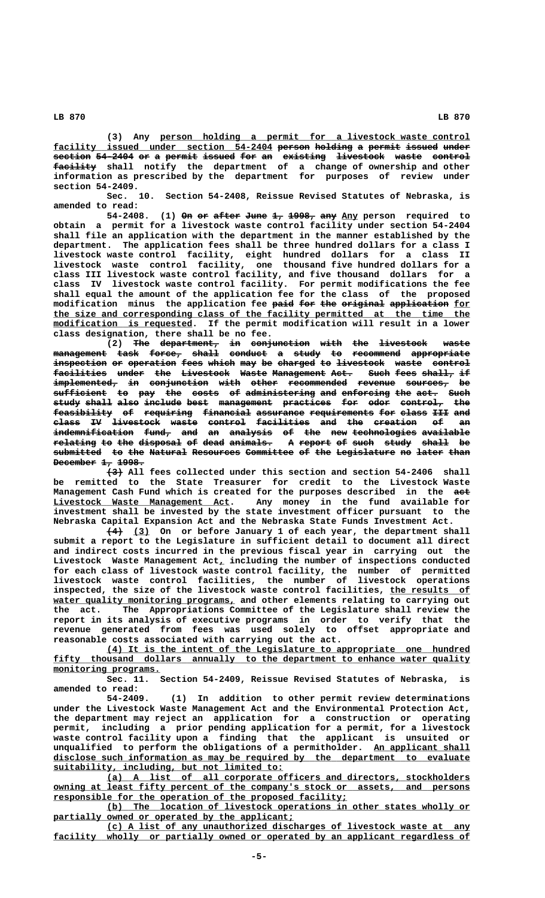**\_\_\_\_\_\_\_\_\_\_\_\_\_\_\_\_\_\_\_\_\_\_\_\_\_\_\_\_\_\_\_\_\_\_\_\_\_\_\_\_\_\_\_\_\_\_\_\_\_\_\_\_\_\_\_\_\_\_ (3) Any person holding a permit for a livestock waste control** facility issued under section 54-2404 person holding a permit issued under section 54-2404 or a permit issued for an existing livestock waste control  **———————— facility shall notify the department of a change of ownership and other information as prescribed by the department for purposes of review under section 54-2409.**

**Sec. 10. Section 54-2408, Reissue Revised Statutes of Nebraska, is amended to read:**

54-2408. (1) On or after June 1, 1998, any Any person required to **obtain a permit for a livestock waste control facility under section 54-2404 shall file an application with the department in the manner established by the department. The application fees shall be three hundred dollars for a class I livestock waste control facility, eight hundred dollars for a class II livestock waste control facility, one thousand five hundred dollars for a class III livestock waste control facility, and five thousand dollars for a class IV livestock waste control facility. For permit modifications the fee shall equal the amount of the application fee for the class of the proposed** modification minus the application fee <del>paid for the original application</del> <u>for</u>  **\_\_\_\_\_\_\_\_\_\_\_\_\_\_\_\_\_\_\_\_\_\_\_\_\_\_\_\_\_\_\_\_\_\_\_\_\_\_\_\_\_\_\_\_\_\_\_\_\_\_\_\_\_\_\_\_\_\_\_\_\_\_\_\_\_\_\_\_\_\_\_\_\_\_\_\_\_\_ the size and corresponding class of the facility permitted at the time the**  $\frac{\text{modification is requested}}{\text{independent}}$ . If the permit modification will result in a lower **class designation, there shall be no fee.**

**(2)** The department, in conjunction with the livestock waste **management task force, shall conduct a study to recommend appropriate —————————— ———— —————— ————— ——————— — ————— —— ————————— —————————— inspection or operation fees which may be charged to livestock waste control —————————— —— ————————— ———— ————— ——— —— ——————— —— ————————— ————— ——————** facilities under the Livestock Waste Management Act. Such fees shall, if  $\frac{1}{2}$  **implemented,** in conjunction with other recommended revenue sources, be  $sufficient to pay the costs of adminitstering and enforcing the act. Such$ **study shall also include best management practices for odor control, the ————— ————— ———— ——————— ———— —————————— ————————— ——— ———— ———————— —— feasibility of requiring financial assurance requirements for class III and ——————————— —— ————————— ————————— ————————— ———————————— ——— ————— ——— —— class IV livestock waste control facilities and the creation of an ————— —— ————————— ————— ——————— —————————— ——— ——— ———————— —— — indemnification fund, and an analysis of the new technologies available ——————————————— ————— ——— —— ———————— —— ——— ——— ———————————— ———————— relating to the disposal of dead animals. A report of such study shall be ———————— —— ——— ———————— —— ———— ———————— — —————— —— ———— ————— ————— —** submitted to the Natural Resources Committee of the Legislature no later than **December 1, 1998.** 

 **——— (3) All fees collected under this section and section 54-2406 shall be remitted to the State Treasurer for credit to the Livestock Waste Management Cash Fund which is created for the purposes described in the act ——— \_\_\_\_\_\_\_\_\_\_\_\_\_\_\_\_\_\_\_\_\_\_\_\_\_\_\_\_\_\_\_\_\_ Livestock Waste Management Act. Any money in the fund available for investment shall be invested by the state investment officer pursuant to the Nebraska Capital Expansion Act and the Nebraska State Funds Investment Act.**

> **——— \_\_\_ (4) (3) On or before January 1 of each year, the department shall submit a report to the Legislature in sufficient detail to document all direct and indirect costs incurred in the previous fiscal year in carrying out the** Livestock Waste Management  $Act_{L}$  including the number of inspections conducted **for each class of livestock waste control facility, the number of permitted livestock waste control facilities, the number of livestock operations** inspected, the size of the livestock waste control facilities, the results of water quality monitoring programs, and other elements relating to carrying out **the act. The Appropriations Committee of the Legislature shall review the report in its analysis of executive programs in order to verify that the revenue generated from fees was used solely to offset appropriate and reasonable costs associated with carrying out the act.**

> **\_\_\_\_\_\_\_\_\_\_\_\_\_\_\_\_\_\_\_\_\_\_\_\_\_\_\_\_\_\_\_\_\_\_\_\_\_\_\_\_\_\_\_\_\_\_\_\_\_\_\_\_\_\_\_\_\_\_\_\_\_\_\_\_\_\_\_\_ (4) It is the intent of the Legislature to appropriate one hundred**  $fity$  thousand dollars annually to the department to enhance water quality  **monitoring programs. \_\_\_\_\_\_\_\_\_\_\_\_\_\_\_\_\_\_\_\_**

> **Sec. 11. Section 54-2409, Reissue Revised Statutes of Nebraska, is amended to read:**

> **54-2409. (1) In addition to other permit review determinations under the Livestock Waste Management Act and the Environmental Protection Act, the department may reject an application for a construction or operating permit, including a prior pending application for a permit, for a livestock waste control facility upon a finding that the applicant is unsuited or** unqualified to perform the obligations of a permitholder. An applicant shall  **\_\_\_\_\_\_\_\_\_\_\_\_\_\_\_\_\_\_\_\_\_\_\_\_\_\_\_\_\_\_\_\_\_\_\_\_\_\_\_\_\_\_\_\_\_\_\_\_\_\_\_\_\_\_\_\_\_\_\_\_\_\_\_\_\_\_\_\_\_\_\_\_\_\_\_\_\_\_ disclose such information as may be required by the department to evaluate \_\_\_\_\_\_\_\_\_\_\_\_\_\_\_\_\_\_\_\_\_\_\_\_\_\_\_\_\_\_\_\_\_\_\_\_\_\_\_\_\_\_\_ suitability, including, but not limited to:**

> **\_\_\_\_\_\_\_\_\_\_\_\_\_\_\_\_\_\_\_\_\_\_\_\_\_\_\_\_\_\_\_\_\_\_\_\_\_\_\_\_\_\_\_\_\_\_\_\_\_\_\_\_\_\_\_\_\_\_\_\_\_\_\_\_\_\_\_\_ (a) A list of all corporate officers and directors, stockholders**  $\alpha$  owning at least fifty percent of the company's stock or assets, and persons  **\_\_\_\_\_\_\_\_\_\_\_\_\_\_\_\_\_\_\_\_\_\_\_\_\_\_\_\_\_\_\_\_\_\_\_\_\_\_\_\_\_\_\_\_\_\_\_\_\_\_\_\_\_\_\_ responsible for the operation of the proposed facility;**

> **\_\_\_\_\_\_\_\_\_\_\_\_\_\_\_\_\_\_\_\_\_\_\_\_\_\_\_\_\_\_\_\_\_\_\_\_\_\_\_\_\_\_\_\_\_\_\_\_\_\_\_\_\_\_\_\_\_\_\_\_\_\_\_\_\_\_\_\_ (b) The location of livestock operations in other states wholly or** partially owned or operated by the applicant;

> **\_\_\_\_\_\_\_\_\_\_\_\_\_\_\_\_\_\_\_\_\_\_\_\_\_\_\_\_\_\_\_\_\_\_\_\_\_\_\_\_\_\_\_\_\_\_\_\_\_\_\_\_\_\_\_\_\_\_\_\_\_\_\_\_\_\_\_\_ (c) A list of any unauthorized discharges of livestock waste at any \_\_\_\_\_\_\_\_\_\_\_\_\_\_\_\_\_\_\_\_\_\_\_\_\_\_\_\_\_\_\_\_\_\_\_\_\_\_\_\_\_\_\_\_\_\_\_\_\_\_\_\_\_\_\_\_\_\_\_\_\_\_\_\_\_\_\_\_\_\_\_\_\_\_\_\_\_\_ facility wholly or partially owned or operated by an applicant regardless of**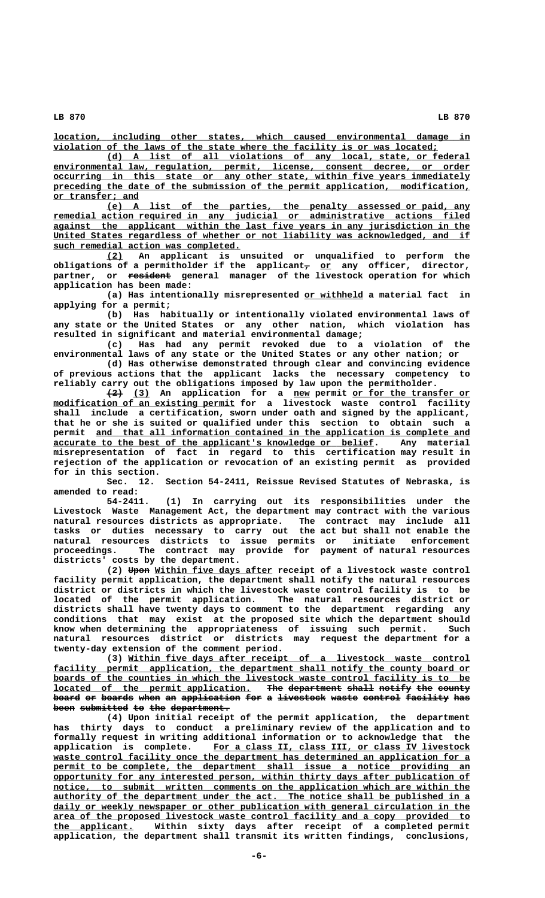**\_\_\_\_\_\_\_\_\_\_\_\_\_\_\_\_\_\_\_\_\_\_\_\_\_\_\_\_\_\_\_\_\_\_\_\_\_\_\_\_\_\_\_\_\_\_\_\_\_\_\_\_\_\_\_\_\_\_\_\_\_\_\_\_\_\_\_\_\_\_\_\_\_\_\_\_\_\_ location, including other states, which caused environmental damage in \_\_\_\_\_\_\_\_\_\_\_\_\_\_\_\_\_\_\_\_\_\_\_\_\_\_\_\_\_\_\_\_\_\_\_\_\_\_\_\_\_\_\_\_\_\_\_\_\_\_\_\_\_\_\_\_\_\_\_\_\_\_\_\_\_\_\_\_\_\_\_\_ violation of the laws of the state where the facility is or was located;**

 **\_\_\_\_\_\_\_\_\_\_\_\_\_\_\_\_\_\_\_\_\_\_\_\_\_\_\_\_\_\_\_\_\_\_\_\_\_\_\_\_\_\_\_\_\_\_\_\_\_\_\_\_\_\_\_\_\_\_\_\_\_\_\_\_\_\_\_\_ (d) A list of all violations of any local, state, or federal \_\_\_\_\_\_\_\_\_\_\_\_\_\_\_\_\_\_\_\_\_\_\_\_\_\_\_\_\_\_\_\_\_\_\_\_\_\_\_\_\_\_\_\_\_\_\_\_\_\_\_\_\_\_\_\_\_\_\_\_\_\_\_\_\_\_\_\_\_\_\_\_\_\_\_\_\_\_ environmental law, regulation, permit, license, consent decree, or order \_\_\_\_\_\_\_\_\_\_\_\_\_\_\_\_\_\_\_\_\_\_\_\_\_\_\_\_\_\_\_\_\_\_\_\_\_\_\_\_\_\_\_\_\_\_\_\_\_\_\_\_\_\_\_\_\_\_\_\_\_\_\_\_\_\_\_\_\_\_\_\_\_\_\_\_\_\_ occurring in this state or any other state, within five years immediately** preceding the date of the submission of the permit application, modification,  **\_\_\_\_\_\_\_\_\_\_\_\_\_\_\_\_ or transfer; and**

> **\_\_\_\_\_\_\_\_\_\_\_\_\_\_\_\_\_\_\_\_\_\_\_\_\_\_\_\_\_\_\_\_\_\_\_\_\_\_\_\_\_\_\_\_\_\_\_\_\_\_\_\_\_\_\_\_\_\_\_\_\_\_\_\_\_\_\_\_ (e) A list of the parties, the penalty assessed or paid, any \_\_\_\_\_\_\_\_\_\_\_\_\_\_\_\_\_\_\_\_\_\_\_\_\_\_\_\_\_\_\_\_\_\_\_\_\_\_\_\_\_\_\_\_\_\_\_\_\_\_\_\_\_\_\_\_\_\_\_\_\_\_\_\_\_\_\_\_\_\_\_\_\_\_\_\_\_\_ remedial action required in any judicial or administrative actions filed \_\_\_\_\_\_\_\_\_\_\_\_\_\_\_\_\_\_\_\_\_\_\_\_\_\_\_\_\_\_\_\_\_\_\_\_\_\_\_\_\_\_\_\_\_\_\_\_\_\_\_\_\_\_\_\_\_\_\_\_\_\_\_\_\_\_\_\_\_\_\_\_\_\_\_\_\_\_ against the applicant within the last five years in any jurisdiction in the \_\_\_\_\_\_\_\_\_\_\_\_\_\_\_\_\_\_\_\_\_\_\_\_\_\_\_\_\_\_\_\_\_\_\_\_\_\_\_\_\_\_\_\_\_\_\_\_\_\_\_\_\_\_\_\_\_\_\_\_\_\_\_\_\_\_\_\_\_\_\_\_\_\_\_\_\_\_ United States regardless of whether or not liability was acknowledged, and if \_\_\_\_\_\_\_\_\_\_\_\_\_\_\_\_\_\_\_\_\_\_\_\_\_\_\_\_\_\_\_\_\_\_\_ such remedial action was completed.**

 **\_\_\_ (2) An applicant is unsuited or unqualified to perform the** obligations of a permitholder if the applicant<sub>7</sub> o<u>r</u> any officer, director,  **———————— partner, or resident general manager of the livestock operation for which application has been made:**

(a) Has intentionally misrepresented or withheld a material fact in **applying for a permit;**

**(b) Has habitually or intentionally violated environmental laws of any state or the United States or any other nation, which violation has resulted in significant and material environmental damage;**

**(c) Has had any permit revoked due to a violation of the environmental laws of any state or the United States or any other nation; or (d) Has otherwise demonstrated through clear and convincing evidence**

**of previous actions that the applicant lacks the necessary competency to reliably carry out the obligations imposed by law upon the permitholder.**

 $\overline{(3)}$  An application for a new permit or for the transfer or  $modification of an existing permit for a livestock waste control facility$ **shall include a certification, sworn under oath and signed by the applicant, that he or she is suited or qualified under this section to obtain such a** permit and that all information contained in the application is complete and  **\_\_\_\_\_\_\_\_\_\_\_\_\_\_\_\_\_\_\_\_\_\_\_\_\_\_\_\_\_\_\_\_\_\_\_\_\_\_\_\_\_\_\_\_\_\_\_\_\_\_\_\_\_\_\_\_\_\_\_\_ accurate to the best of the applicant's knowledge or belief. Any material misrepresentation of fact in regard to this certification may result in rejection of the application or revocation of an existing permit as provided for in this section.**

**Sec. 12. Section 54-2411, Reissue Revised Statutes of Nebraska, is amended to read:**

**54-2411. (1) In carrying out its responsibilities under the Livestock Waste Management Act, the department may contract with the various natural resources districts as appropriate. The contract may include all tasks or duties necessary to carry out the act but shall not enable the natural resources districts to issue permits or initiate enforcement proceedings. The contract may provide for payment of natural resources districts' costs by the department.**

(2) **Upon Within five days after** receipt of a livestock waste control **facility permit application, the department shall notify the natural resources district or districts in which the livestock waste control facility is to be located of the permit application. The natural resources district or districts shall have twenty days to comment to the department regarding any conditions that may exist at the proposed site which the department should know when determining the appropriateness of issuing such permit. Such natural resources district or districts may request the department for a twenty-day extension of the comment period.**

 **\_\_\_\_\_\_\_\_\_\_\_\_\_\_\_\_\_\_\_\_\_\_\_\_\_\_\_\_\_\_\_\_\_\_\_\_\_\_\_\_\_\_\_\_\_\_\_\_\_\_\_\_\_\_\_\_\_\_\_\_\_\_\_\_ (3) Within five days after receipt of a livestock waste control** facility permit application, the department shall notify the county board or boards of the counties in which the livestock waste control facility is to be located of the permit application. The department shall notify the county board or boards when an application for a livestock waste control facility has been submitted to the department.

**(4) Upon initial receipt of the permit application, the department has thirty days to conduct a preliminary review of the application and to formally request in writing additional information or to acknowledge that the \_\_\_\_\_\_\_\_\_\_\_\_\_\_\_\_\_\_\_\_\_\_\_\_\_\_\_\_\_\_\_\_\_\_\_\_\_\_\_\_\_\_\_\_\_\_\_\_ application is complete. For a class II, class III, or class IV livestock** waste control facility once the department has determined an application for a permit to be complete, the department shall issue a notice providing an  **\_\_\_\_\_\_\_\_\_\_\_\_\_\_\_\_\_\_\_\_\_\_\_\_\_\_\_\_\_\_\_\_\_\_\_\_\_\_\_\_\_\_\_\_\_\_\_\_\_\_\_\_\_\_\_\_\_\_\_\_\_\_\_\_\_\_\_\_\_\_\_\_\_\_\_\_\_\_ opportunity for any interested person, within thirty days after publication of** notice, to submit written comments on the application which are within the  **\_\_\_\_\_\_\_\_\_\_\_\_\_\_\_\_\_\_\_\_\_\_\_\_\_\_\_\_\_\_\_\_\_\_\_\_\_\_\_\_\_\_\_\_\_\_\_\_\_\_\_\_\_\_\_\_\_\_\_\_\_\_\_\_\_\_\_\_\_\_\_\_\_\_\_\_\_\_ authority of the department under the act. The notice shall be published in a \_\_\_\_\_\_\_\_\_\_\_\_\_\_\_\_\_\_\_\_\_\_\_\_\_\_\_\_\_\_\_\_\_\_\_\_\_\_\_\_\_\_\_\_\_\_\_\_\_\_\_\_\_\_\_\_\_\_\_\_\_\_\_\_\_\_\_\_\_\_\_\_\_\_\_\_\_\_ daily or weekly newspaper or other publication with general circulation in the \_\_\_\_\_\_\_\_\_\_\_\_\_\_\_\_\_\_\_\_\_\_\_\_\_\_\_\_\_\_\_\_\_\_\_\_\_\_\_\_\_\_\_\_\_\_\_\_\_\_\_\_\_\_\_\_\_\_\_\_\_\_\_\_\_\_\_\_\_\_\_\_\_\_\_\_\_\_ area of the proposed livestock waste control facility and a copy provided to \_\_\_\_\_\_\_\_\_\_\_\_\_\_\_ the applicant. Within sixty days after receipt of a completed permit application, the department shall transmit its written findings, conclusions,**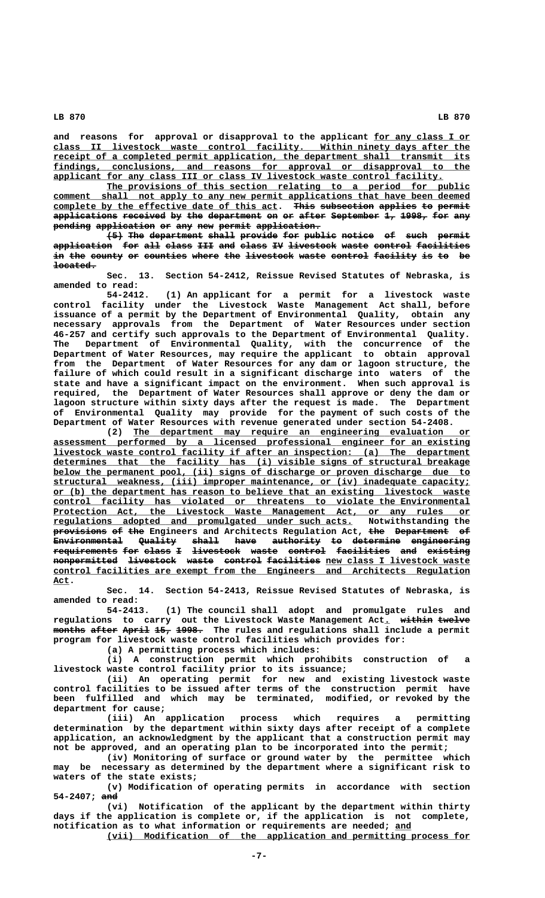and reasons for approval or disapproval to the applicant for any class I or  **\_\_\_\_\_\_\_\_\_\_\_\_\_\_\_\_\_\_\_\_\_\_\_\_\_\_\_\_\_\_\_\_\_\_\_\_\_\_\_\_\_\_\_\_\_\_\_\_\_\_\_\_\_\_\_\_\_\_\_\_\_\_\_\_\_\_\_\_\_\_\_\_\_\_\_\_\_\_ class II livestock waste control facility. Within ninety days after the \_\_\_\_\_\_\_\_\_\_\_\_\_\_\_\_\_\_\_\_\_\_\_\_\_\_\_\_\_\_\_\_\_\_\_\_\_\_\_\_\_\_\_\_\_\_\_\_\_\_\_\_\_\_\_\_\_\_\_\_\_\_\_\_\_\_\_\_\_\_\_\_\_\_\_\_\_\_ receipt of a completed permit application, the department shall transmit its \_\_\_\_\_\_\_\_\_\_\_\_\_\_\_\_\_\_\_\_\_\_\_\_\_\_\_\_\_\_\_\_\_\_\_\_\_\_\_\_\_\_\_\_\_\_\_\_\_\_\_\_\_\_\_\_\_\_\_\_\_\_\_\_\_\_\_\_\_\_\_\_\_\_\_\_\_\_ findings, conclusions, and reasons for approval or disapproval to the** applicant for any class III or class IV livestock waste control facility.

The provisions of this section relating to a period for public comment shall not apply to any new permit applications that have been deemed complete by the effective date of this act. This subsection applies to permit applications received by the department on or after September 1, 1998, for any pending application or any new permit application.

**(5) The department shall provide for public notice of such permit ——— ——— —————————— ————— ——————— ——— —————— —————— —— ———— ————— application for all class III and class IV livestock waste control facilities ——————————— ——— ——— ————— ——— ——— ————— —— ————————— ————— ——————— —————————** in the county or counties where the livestock waste control facility is to be  **located. ————————**

**Sec. 13. Section 54-2412, Reissue Revised Statutes of Nebraska, is amended to read:**

**54-2412. (1) An applicant for a permit for a livestock waste control facility under the Livestock Waste Management Act shall, before issuance of a permit by the Department of Environmental Quality, obtain any necessary approvals from the Department of Water Resources under section 46-257 and certify such approvals to the Department of Environmental Quality. The Department of Environmental Quality, with the concurrence of the Department of Water Resources, may require the applicant to obtain approval from the Department of Water Resources for any dam or lagoon structure, the failure of which could result in a significant discharge into waters of the state and have a significant impact on the environment. When such approval is required, the Department of Water Resources shall approve or deny the dam or lagoon structure within sixty days after the request is made. The Department of Environmental Quality may provide for the payment of such costs of the Department of Water Resources with revenue generated under section 54-2408.**

 **\_\_\_\_\_\_\_\_\_\_\_\_\_\_\_\_\_\_\_\_\_\_\_\_\_\_\_\_\_\_\_\_\_\_\_\_\_\_\_\_\_\_\_\_\_\_\_\_\_\_\_\_\_\_\_\_\_\_\_\_\_\_\_ (2) The department may require an engineering evaluation or \_\_\_\_\_\_\_\_\_\_\_\_\_\_\_\_\_\_\_\_\_\_\_\_\_\_\_\_\_\_\_\_\_\_\_\_\_\_\_\_\_\_\_\_\_\_\_\_\_\_\_\_\_\_\_\_\_\_\_\_\_\_\_\_\_\_\_\_\_\_\_\_\_\_\_\_\_\_ assessment performed by a licensed professional engineer for an existing \_\_\_\_\_\_\_\_\_\_\_\_\_\_\_\_\_\_\_\_\_\_\_\_\_\_\_\_\_\_\_\_\_\_\_\_\_\_\_\_\_\_\_\_\_\_\_\_\_\_\_\_\_\_\_\_\_\_\_\_\_\_\_\_\_\_\_\_\_\_\_\_\_\_\_\_\_\_ livestock waste control facility if after an inspection: (a) The department \_\_\_\_\_\_\_\_\_\_\_\_\_\_\_\_\_\_\_\_\_\_\_\_\_\_\_\_\_\_\_\_\_\_\_\_\_\_\_\_\_\_\_\_\_\_\_\_\_\_\_\_\_\_\_\_\_\_\_\_\_\_\_\_\_\_\_\_\_\_\_\_\_\_\_\_\_\_ determines that the facility has (i) visible signs of structural breakage \_\_\_\_\_\_\_\_\_\_\_\_\_\_\_\_\_\_\_\_\_\_\_\_\_\_\_\_\_\_\_\_\_\_\_\_\_\_\_\_\_\_\_\_\_\_\_\_\_\_\_\_\_\_\_\_\_\_\_\_\_\_\_\_\_\_\_\_\_\_\_\_\_\_\_\_\_\_ below the permanent pool, (ii) signs of discharge or proven discharge due to \_\_\_\_\_\_\_\_\_\_\_\_\_\_\_\_\_\_\_\_\_\_\_\_\_\_\_\_\_\_\_\_\_\_\_\_\_\_\_\_\_\_\_\_\_\_\_\_\_\_\_\_\_\_\_\_\_\_\_\_\_\_\_\_\_\_\_\_\_\_\_\_\_\_\_\_\_\_ structural weakness, (iii) improper maintenance, or (iv) inadequate capacity; \_\_\_\_\_\_\_\_\_\_\_\_\_\_\_\_\_\_\_\_\_\_\_\_\_\_\_\_\_\_\_\_\_\_\_\_\_\_\_\_\_\_\_\_\_\_\_\_\_\_\_\_\_\_\_\_\_\_\_\_\_\_\_\_\_\_\_\_\_\_\_\_\_\_\_\_\_\_ or (b) the department has reason to believe that an existing livestock waste \_\_\_\_\_\_\_\_\_\_\_\_\_\_\_\_\_\_\_\_\_\_\_\_\_\_\_\_\_\_\_\_\_\_\_\_\_\_\_\_\_\_\_\_\_\_\_\_\_\_\_\_\_\_\_\_\_\_\_\_\_\_\_\_\_\_\_\_\_\_\_\_\_\_\_\_\_\_ control facility has violated or threatens to violate the Environmental** Protection Act, the Livestock Waste Management Act, or any rules or  **\_\_\_\_\_\_\_\_\_\_\_\_\_\_\_\_\_\_\_\_\_\_\_\_\_\_\_\_\_\_\_\_\_\_\_\_\_\_\_\_\_\_\_\_\_\_\_\_\_\_\_\_\_\_\_\_ regulations adopted and promulgated under such acts. Notwithstanding the provisions of the Engineers and Architects Regulation Act, the Department of —————————— —— ——— ——— —————————— —— Environmental Quality shall have authority to determine engineering ————————————— ——————— ————— ———— ————————— —— ————————— —————————— requirements for class I livestock waste control facilities and existing ———————————— ——— ————— — ————————— ————— ——————— —————————— ——— ——————— nonpermitted livestock waste control facilities new class I livestock waste \_\_\_\_\_\_\_\_\_\_\_\_\_\_\_\_\_\_\_\_\_\_\_\_\_\_\_\_\_\_\_\_\_\_\_\_\_\_\_\_\_\_\_\_\_\_\_\_\_\_\_\_\_\_\_\_\_\_\_\_\_\_\_\_\_\_\_\_\_\_\_\_\_\_\_\_\_\_ control facilities are exempt from the Engineers and Architects Regulation Act. \_\_\_**

**Sec. 14. Section 54-2413, Reissue Revised Statutes of Nebraska, is amended to read:**

**54-2413. (1) The council shall adopt and promulgate rules and** regulations to carry out the Livestock Waste Management Act<u>.</u> w<del>ithin twelve</del> **months after April 15, 1998. The rules and regulations shall include a permit —————— ————— ————— ——— ———— program for livestock waste control facilities which provides for:**

**(a) A permitting process which includes:**

**(i) A construction permit which prohibits construction of a livestock waste control facility prior to its issuance;**

**(ii) An operating permit for new and existing livestock waste control facilities to be issued after terms of the construction permit have been fulfilled and which may be terminated, modified, or revoked by the department for cause;**

**(iii) An application process which requires a permitting determination by the department within sixty days after receipt of a complete application, an acknowledgment by the applicant that a construction permit may not be approved, and an operating plan to be incorporated into the permit;**

**(iv) Monitoring of surface or ground water by the permittee which may be necessary as determined by the department where a significant risk to waters of the state exists;**

**(v) Modification of operating permits in accordance with section** 54-2407; and

**(vi) Notification of the applicant by the department within thirty days if the application is complete or, if the application is not complete, notification as to what information or requirements are needed; and \_\_\_**

 **\_\_\_\_\_\_\_\_\_\_\_\_\_\_\_\_\_\_\_\_\_\_\_\_\_\_\_\_\_\_\_\_\_\_\_\_\_\_\_\_\_\_\_\_\_\_\_\_\_\_\_\_\_\_\_\_\_\_\_\_\_\_\_\_\_\_\_\_ (vii) Modification of the application and permitting process for**